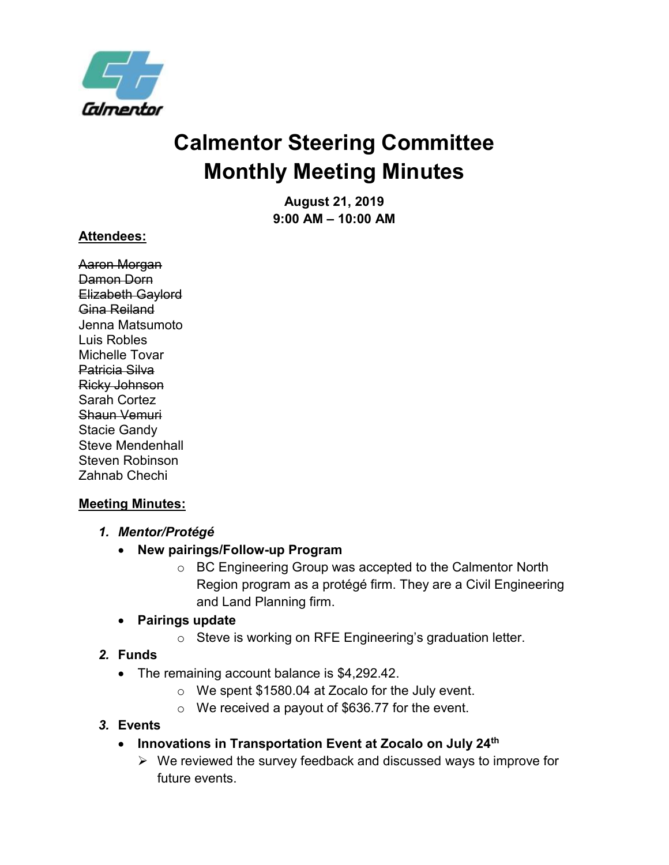

# **Calmentor Steering Committee Monthly Meeting Minutes**

**August 21, 2019 9:00 AM – 10:00 AM**

#### **Attendees:**

Aaron Morgan Damon Dorn Elizabeth Gaylord Gina Reiland Jenna Matsumoto Luis Robles Michelle Tovar Patricia Silva Ricky Johnson Sarah Cortez Shaun Vemuri Stacie Gandy Steve Mendenhall Steven Robinson Zahnab Chechi

## **Meeting Minutes:**

- *1. Mentor/Protégé*
	- **New pairings/Follow-up Program**
		- o BC Engineering Group was accepted to the Calmentor North Region program as a protégé firm. They are a Civil Engineering and Land Planning firm.

## • **Pairings update**

o Steve is working on RFE Engineering's graduation letter.

# *2.* **Funds**

- The remaining account balance is \$4,292.42.
	- o We spent \$1580.04 at Zocalo for the July event.
	- $\circ$  We received a payout of \$636.77 for the event.

# *3.* **Events**

- **Innovations in Transportation Event at Zocalo on July 24th**
	- ➢ We reviewed the survey feedback and discussed ways to improve for future events.